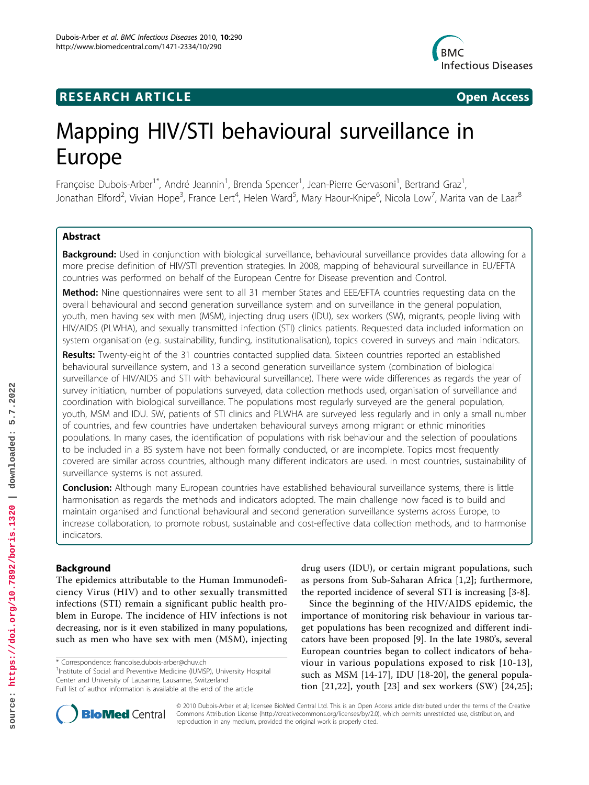



# Mapping HIV/STI behavioural surveillance in Europe

Françoise Dubois-Arber<sup>1\*</sup>, André Jeannin<sup>1</sup>, Brenda Spencer<sup>1</sup>, Jean-Pierre Gervasoni<sup>1</sup>, Bertrand Graz<sup>1</sup> , Jonathan Elford<sup>2</sup>, Vivian Hope<sup>3</sup>, France Lert<sup>4</sup>, Helen Ward<sup>5</sup>, Mary Haour-Knipe<sup>6</sup>, Nicola Low<sup>7</sup>, Marita van de Laar<sup>8</sup>

# Abstract

Background: Used in conjunction with biological surveillance, behavioural surveillance provides data allowing for a more precise definition of HIV/STI prevention strategies. In 2008, mapping of behavioural surveillance in EU/EFTA countries was performed on behalf of the European Centre for Disease prevention and Control.

**Method:** Nine questionnaires were sent to all 31 member States and EEE/EFTA countries requesting data on the overall behavioural and second generation surveillance system and on surveillance in the general population, youth, men having sex with men (MSM), injecting drug users (IDU), sex workers (SW), migrants, people living with HIV/AIDS (PLWHA), and sexually transmitted infection (STI) clinics patients. Requested data included information on system organisation (e.g. sustainability, funding, institutionalisation), topics covered in surveys and main indicators.

Results: Twenty-eight of the 31 countries contacted supplied data. Sixteen countries reported an established behavioural surveillance system, and 13 a second generation surveillance system (combination of biological surveillance of HIV/AIDS and STI with behavioural surveillance). There were wide differences as regards the year of survey initiation, number of populations surveyed, data collection methods used, organisation of surveillance and coordination with biological surveillance. The populations most regularly surveyed are the general population, youth, MSM and IDU. SW, patients of STI clinics and PLWHA are surveyed less regularly and in only a small number of countries, and few countries have undertaken behavioural surveys among migrant or ethnic minorities populations. In many cases, the identification of populations with risk behaviour and the selection of populations to be included in a BS system have not been formally conducted, or are incomplete. Topics most frequently covered are similar across countries, although many different indicators are used. In most countries, sustainability of surveillance systems is not assured.

Conclusion: Although many European countries have established behavioural surveillance systems, there is little harmonisation as regards the methods and indicators adopted. The main challenge now faced is to build and maintain organised and functional behavioural and second generation surveillance systems across Europe, to increase collaboration, to promote robust, sustainable and cost-effective data collection methods, and to harmonise indicators.

## Background

The epidemics attributable to the Human Immunodeficiency Virus (HIV) and to other sexually transmitted infections (STI) remain a significant public health problem in Europe. The incidence of HIV infections is not decreasing, nor is it even stabilized in many populations, such as men who have sex with men (MSM), injecting

<sup>1</sup>Institute of Social and Preventive Medicine (IUMSP), University Hospital Center and University of Lausanne, Lausanne, Switzerland Full list of author information is available at the end of the article

Since the beginning of the HIV/AIDS epidemic, the importance of monitoring risk behaviour in various target populations has been recognized and different indicators have been proposed [9]. In the late 1980's, several European countries began to collect indicators of behaviour in various populations exposed to risk [10[-13\]](#page-8-0), such as MSM [14-[17](#page-9-0)], IDU [18-20], the general population [21,22], youth [23] and sex workers (SW) [24,25];



© 2010 Dubois-Arber et al; licensee BioMed Central Ltd. This is an Open Access article distributed under the terms of the Creative Commons Attribution License [\(http://creativecommons.org/licenses/by/2.0](http://creativecommons.org/licenses/by/2.0)), which permits unrestricted use, distribution, and reproduction in any medium, provided the original work is properly cited.

<sup>\*</sup> Correspondence: [francoise.dubois-arber@chuv.ch](mailto:francoise.dubois-arber@chuv.ch)

drug users (IDU), or certain migrant populations, such as persons from Sub-Saharan Africa [1,2]; furthermore, the reported incidence of several STI is increasing [3-8].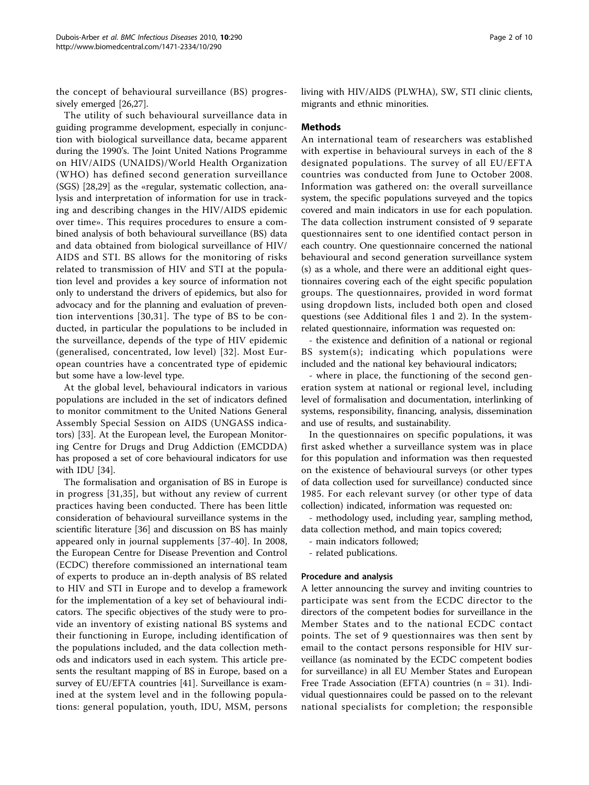the concept of behavioural surveillance (BS) progressively emerged [26,27].

The utility of such behavioural surveillance data in guiding programme development, especially in conjunction with biological surveillance data, became apparent during the 1990's. The Joint United Nations Programme on HIV/AIDS (UNAIDS)/World Health Organization (WHO) has defined second generation surveillance (SGS) [28,29] as the «regular, systematic collection, analysis and interpretation of information for use in tracking and describing changes in the HIV/AIDS epidemic over time». This requires procedures to ensure a combined analysis of both behavioural surveillance (BS) data and data obtained from biological surveillance of HIV/ AIDS and STI. BS allows for the monitoring of risks related to transmission of HIV and STI at the population level and provides a key source of information not only to understand the drivers of epidemics, but also for advocacy and for the planning and evaluation of prevention interventions [30,31]. The type of BS to be conducted, in particular the populations to be included in the surveillance, depends of the type of HIV epidemic (generalised, concentrated, low level) [32]. Most European countries have a concentrated type of epidemic but some have a low-level type.

At the global level, behavioural indicators in various populations are included in the set of indicators defined to monitor commitment to the United Nations General Assembly Special Session on AIDS (UNGASS indicators) [33]. At the European level, the European Monitoring Centre for Drugs and Drug Addiction (EMCDDA) has proposed a set of core behavioural indicators for use with IDU [[34](#page-9-0)].

The formalisation and organisation of BS in Europe is in progress [31,[35](#page-9-0)], but without any review of current practices having been conducted. There has been little consideration of behavioural surveillance systems in the scientific literature [36] and discussion on BS has mainly appeared only in journal supplements [37-40]. In 2008, the European Centre for Disease Prevention and Control (ECDC) therefore commissioned an international team of experts to produce an in-depth analysis of BS related to HIV and STI in Europe and to develop a framework for the implementation of a key set of behavioural indicators. The specific objectives of the study were to provide an inventory of existing national BS systems and their functioning in Europe, including identification of the populations included, and the data collection methods and indicators used in each system. This article presents the resultant mapping of BS in Europe, based on a survey of EU/EFTA countries [41]. Surveillance is examined at the system level and in the following populations: general population, youth, IDU, MSM, persons living with HIV/AIDS (PLWHA), SW, STI clinic clients, migrants and ethnic minorities.

## Methods

An international team of researchers was established with expertise in behavioural surveys in each of the 8 designated populations. The survey of all EU/EFTA countries was conducted from June to October 2008. Information was gathered on: the overall surveillance system, the specific populations surveyed and the topics covered and main indicators in use for each population. The data collection instrument consisted of 9 separate questionnaires sent to one identified contact person in each country. One questionnaire concerned the national behavioural and second generation surveillance system (s) as a whole, and there were an additional eight questionnaires covering each of the eight specific population groups. The questionnaires, provided in word format using dropdown lists, included both open and closed questions (see Additional files [1](#page-8-0) and [2](#page-8-0)). In the systemrelated questionnaire, information was requested on:

- the existence and definition of a national or regional BS system(s); indicating which populations were included and the national key behavioural indicators;

- where in place, the functioning of the second generation system at national or regional level, including level of formalisation and documentation, interlinking of systems, responsibility, financing, analysis, dissemination and use of results, and sustainability.

In the questionnaires on specific populations, it was first asked whether a surveillance system was in place for this population and information was then requested on the existence of behavioural surveys (or other types of data collection used for surveillance) conducted since 1985. For each relevant survey (or other type of data collection) indicated, information was requested on:

- methodology used, including year, sampling method, data collection method, and main topics covered;

- main indicators followed;
- related publications.

## Procedure and analysis

A letter announcing the survey and inviting countries to participate was sent from the ECDC director to the directors of the competent bodies for surveillance in the Member States and to the national ECDC contact points. The set of 9 questionnaires was then sent by email to the contact persons responsible for HIV surveillance (as nominated by the ECDC competent bodies for surveillance) in all EU Member States and European Free Trade Association (EFTA) countries (n = 31). Individual questionnaires could be passed on to the relevant national specialists for completion; the responsible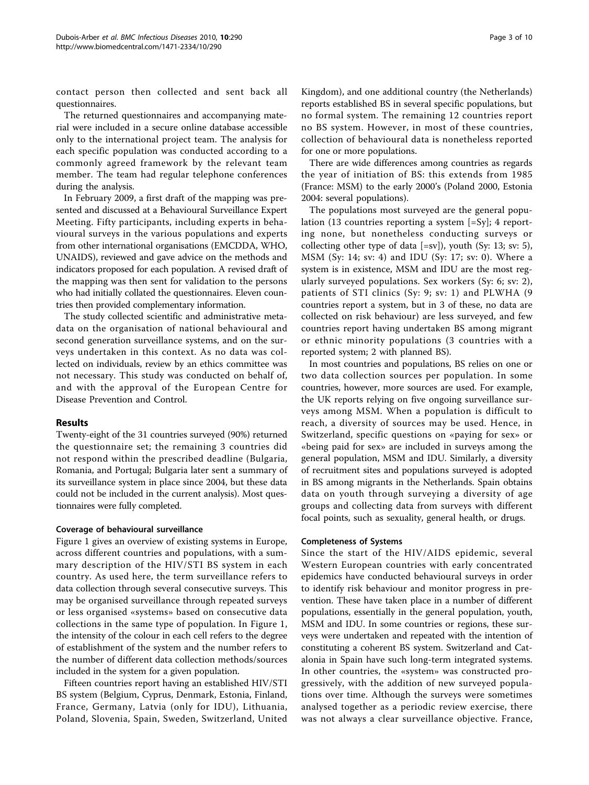contact person then collected and sent back all questionnaires.

The returned questionnaires and accompanying material were included in a secure online database accessible only to the international project team. The analysis for each specific population was conducted according to a commonly agreed framework by the relevant team member. The team had regular telephone conferences during the analysis.

In February 2009, a first draft of the mapping was presented and discussed at a Behavioural Surveillance Expert Meeting. Fifty participants, including experts in behavioural surveys in the various populations and experts from other international organisations (EMCDDA, WHO, UNAIDS), reviewed and gave advice on the methods and indicators proposed for each population. A revised draft of the mapping was then sent for validation to the persons who had initially collated the questionnaires. Eleven countries then provided complementary information.

The study collected scientific and administrative metadata on the organisation of national behavioural and second generation surveillance systems, and on the surveys undertaken in this context. As no data was collected on individuals, review by an ethics committee was not necessary. This study was conducted on behalf of, and with the approval of the European Centre for Disease Prevention and Control.

## Results

Twenty-eight of the 31 countries surveyed (90%) returned the questionnaire set; the remaining 3 countries did not respond within the prescribed deadline (Bulgaria, Romania, and Portugal; Bulgaria later sent a summary of its surveillance system in place since 2004, but these data could not be included in the current analysis). Most questionnaires were fully completed.

## Coverage of behavioural surveillance

Figure [1](#page-3-0) gives an overview of existing systems in Europe, across different countries and populations, with a summary description of the HIV/STI BS system in each country. As used here, the term surveillance refers to data collection through several consecutive surveys. This may be organised surveillance through repeated surveys or less organised «systems» based on consecutive data collections in the same type of population. In Figure [1](#page-3-0), the intensity of the colour in each cell refers to the degree of establishment of the system and the number refers to the number of different data collection methods/sources included in the system for a given population.

Fifteen countries report having an established HIV/STI BS system (Belgium, Cyprus, Denmark, Estonia, Finland, France, Germany, Latvia (only for IDU), Lithuania, Poland, Slovenia, Spain, Sweden, Switzerland, United

Kingdom), and one additional country (the Netherlands) reports established BS in several specific populations, but no formal system. The remaining 12 countries report no BS system. However, in most of these countries, collection of behavioural data is nonetheless reported for one or more populations.

There are wide differences among countries as regards the year of initiation of BS: this extends from 1985 (France: MSM) to the early 2000's (Poland 2000, Estonia 2004: several populations).

The populations most surveyed are the general population (13 countries reporting a system [=Sy]; 4 reporting none, but nonetheless conducting surveys or collecting other type of data  $[=sv]$ , youth (Sy: 13; sv: 5),  $MSM$  (Sy: 14; sv: 4) and IDU (Sy: 17; sv: 0). Where a system is in existence, MSM and IDU are the most regularly surveyed populations. Sex workers (Sy: 6; sv: 2), patients of STI clinics (Sy: 9; sv: 1) and PLWHA (9 countries report a system, but in 3 of these, no data are collected on risk behaviour) are less surveyed, and few countries report having undertaken BS among migrant or ethnic minority populations (3 countries with a reported system; 2 with planned BS).

In most countries and populations, BS relies on one or two data collection sources per population. In some countries, however, more sources are used. For example, the UK reports relying on five ongoing surveillance surveys among MSM. When a population is difficult to reach, a diversity of sources may be used. Hence, in Switzerland, specific questions on «paying for sex» or «being paid for sex» are included in surveys among the general population, MSM and IDU. Similarly, a diversity of recruitment sites and populations surveyed is adopted in BS among migrants in the Netherlands. Spain obtains data on youth through surveying a diversity of age groups and collecting data from surveys with different focal points, such as sexuality, general health, or drugs.

## Completeness of Systems

Since the start of the HIV/AIDS epidemic, several Western European countries with early concentrated epidemics have conducted behavioural surveys in order to identify risk behaviour and monitor progress in prevention. These have taken place in a number of different populations, essentially in the general population, youth, MSM and IDU. In some countries or regions, these surveys were undertaken and repeated with the intention of constituting a coherent BS system. Switzerland and Catalonia in Spain have such long-term integrated systems. In other countries, the «system» was constructed progressively, with the addition of new surveyed populations over time. Although the surveys were sometimes analysed together as a periodic review exercise, there was not always a clear surveillance objective. France,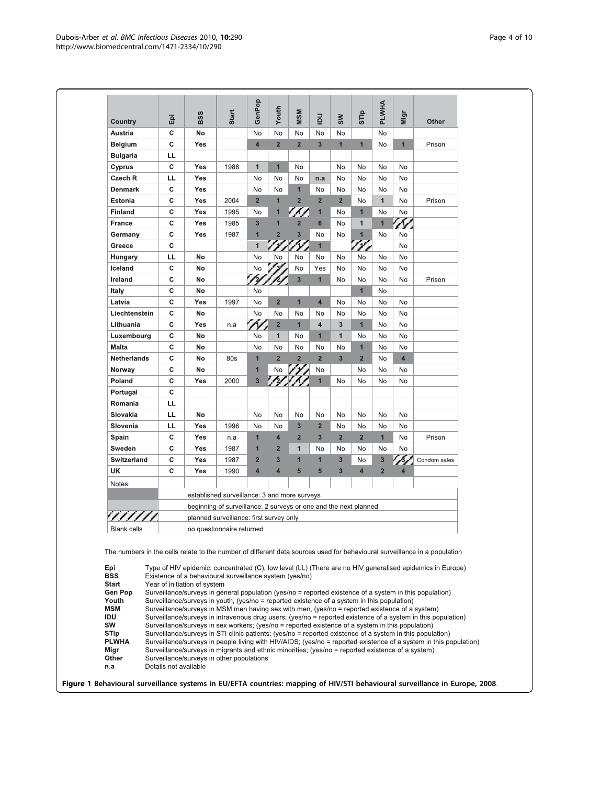<span id="page-3-0"></span>

| Country            | 훕   | <b>BSS</b> | Start                                                            | GenPop                  | Youth          | <b>MSM</b>                       | $\overline{a}$          | ΜS             | <b>STIp</b>                 | PLWHA          | Migr                    | Other        |
|--------------------|-----|------------|------------------------------------------------------------------|-------------------------|----------------|----------------------------------|-------------------------|----------------|-----------------------------|----------------|-------------------------|--------------|
| Austria            | c   | No         |                                                                  | No                      | No             | No                               | No                      | No             |                             | No             |                         |              |
| Belgium            | с   | Yes        |                                                                  | $\overline{\mathbf{4}}$ | $\overline{2}$ | $\overline{2}$                   | 3                       | $\overline{1}$ | $\mathbf{1}$                | No             | $\mathbf{1}$            | Prison       |
| <b>Bulgaria</b>    | LL  |            |                                                                  |                         |                |                                  |                         |                |                             |                |                         |              |
| Cyprus             | c   | Yes        | 1988                                                             | $\mathbf{1}$            | $\overline{1}$ | No                               |                         | No             | No                          | No             | No                      |              |
| Czech R            | LL  | Yes        |                                                                  | No                      | No             | No                               | n.a                     | No             | No                          | No             | <b>No</b>               |              |
| <b>Denmark</b>     | C   | Yes        |                                                                  | No                      | No             | $\overline{1}$                   | No                      | No             | No                          | No             | No                      |              |
| Estonia            | с   | Yes        | 2004                                                             | $\overline{2}$          | 1              | $\overline{2}$                   | $\overline{2}$          | $\overline{2}$ | No                          | $\mathbf{1}$   | No                      | Prison       |
| Finland            | C   | Yes        | 1995                                                             | No                      | 1              |                                  | $\overline{\mathbf{1}}$ | No             | $\overline{1}$              | No             | No                      |              |
| France             | C   | Yes        | 1985                                                             | 3                       | $\overline{1}$ | $\overline{2}$                   | $6\phantom{a}$          | No             | $\mathbf{1}$                | $\overline{1}$ |                         |              |
| Germany            | C   | Yes        | 1987                                                             | 1                       | $\overline{2}$ | $\overline{3}$                   | No                      | No             | $\overline{1}$              | No             | No                      |              |
| Greece             | C   |            |                                                                  | $\mathbf{1}$            |                | $\mathcal{N}/\mathcal{N}_\theta$ | $\mathbf{1}$            |                | $\mathcal{F}_{\mathcal{F}}$ |                | No                      |              |
| Hungary            | LL  | No         |                                                                  | No                      | No             | No                               | No                      | No             | No                          | No             | No                      |              |
| Iceland            | с   | No         |                                                                  | No                      |                | No                               | Yes                     | No             | No                          | No             | No                      |              |
| Ireland            | с   | No         |                                                                  |                         |                | 3                                | $\mathbf{1}$            | No             | No                          | No             | No                      | Prison       |
| Italy              | С   | No         |                                                                  | No                      |                |                                  |                         |                | $\overline{1}$              | No             |                         |              |
| Latvia             | C   | Yes        | 1997                                                             | No                      | $\overline{2}$ | $\overline{1}$                   | $\overline{\mathbf{4}}$ | No             | No                          | No             | No                      |              |
| Liechtenstein      | C   | No         |                                                                  | <b>No</b>               | No             | <b>No</b>                        | No                      | No             | No                          | No             | No                      |              |
| Lithuania          | C   | Yes        | n.a                                                              |                         | $\overline{2}$ | $\overline{1}$                   | 4                       | 3              | $\mathbf{1}$                | No             | No                      |              |
| Luxembourg         | с   | No         |                                                                  | No                      | 1              | No                               | $\overline{1}$          | $\mathbf{1}$   | No                          | No             | No                      |              |
| Malta              | С   | No         |                                                                  | No                      | No             | No                               | No                      | No             | $\mathbf{1}$                | No             | No                      |              |
| Netherlands        | c   | No         | 80s                                                              | $\overline{1}$          | $\overline{2}$ | $\overline{2}$                   | $\overline{2}$          | 3              | $\overline{2}$              | No             | $\overline{\mathbf{4}}$ |              |
| Norway             | С   | No         |                                                                  | 1                       | No             |                                  | No                      |                | No                          | No             | No                      |              |
| Poland             | c   | Yes        | 2000                                                             | 3                       |                |                                  | $\overline{1}$          | No             | No                          | No             | No                      |              |
| Portugal           | C   |            |                                                                  |                         |                |                                  |                         |                |                             |                |                         |              |
| Romania            | LL  |            |                                                                  |                         |                |                                  |                         |                |                             |                |                         |              |
| Slovakia           | LL. | No         |                                                                  | No                      | No             | No                               | No                      | No             | No                          | No             | No                      |              |
| Slovenia           | LL  | Yes        | 1996                                                             | No                      | No             | 3                                | $\overline{2}$          | No             | No                          | No             | No                      |              |
| Spain              | c   | Yes        | n.a                                                              | 1                       | $\overline{4}$ | $\overline{2}$                   | 3                       | $\overline{2}$ | $\overline{2}$              | $\overline{1}$ | No                      | Prison       |
| Sweden             | C   | Yes        | 1987                                                             | 1                       | $\overline{2}$ | $\mathbf{1}$                     | No                      | No             | No                          | No             | No                      |              |
| Switzerland        | c   | Yes        | 1987                                                             | $\overline{2}$          | 3              | 1                                | $\mathbf{1}$            | 3              | No                          | 3              | 3 <sup>2</sup>          | Condom sales |
| UK                 | C   | Yes        | 1990                                                             | $\overline{\mathbf{4}}$ | 4              | 5                                | 5                       | 3              | $\overline{\mathbf{4}}$     | $\overline{2}$ | $\overline{4}$          |              |
| Notes:             |     |            |                                                                  |                         |                |                                  |                         |                |                             |                |                         |              |
|                    |     |            | established surveillance: 3 and more surveys                     |                         |                |                                  |                         |                |                             |                |                         |              |
|                    |     |            | beginning of surveillance: 2 surveys or one and the next planned |                         |                |                                  |                         |                |                             |                |                         |              |
|                    |     |            | planned surveillance: first survey only                          |                         |                |                                  |                         |                |                             |                |                         |              |
| <b>Blank</b> cells |     |            | no questionnaire returned                                        |                         |                |                                  |                         |                |                             |                |                         |              |

Start iitiation of system Gen Pop Surveillance/surveys in general population (yes/no = reported existence of a system in this population) Youth Surveillance/surveys in youth, (yes/no = reported existence of a system in this population) **MSM** Surveillance/surveys in MSM men having sex with men, (yes/no = reported existence of a system) IDU Surveillance/surveys in intravenous drug users; (yes/no = reported existence of a system in this population) SW Surveillance/surveys in sex workers; (yes/no = reported existence of a system in this population) STIp Surveillance/surveys in STI clinic patients; (yes/no = reported existence of a system in this population) PLWHA Surveillance/surveys in people living with HIV/AIDS; (yes/no = reported existence of a system in this population) Migr Surveillance/surveys in migrants and ethnic minorities; (yes/no = reported existence of a system) Other Surveillance/surveys in other populations  $n.a$ Details not available

Figure 1 Behavioural surveillance systems in EU/EFTA countries: mapping of HIV/STI behavioural surveillance in Europe, 2008.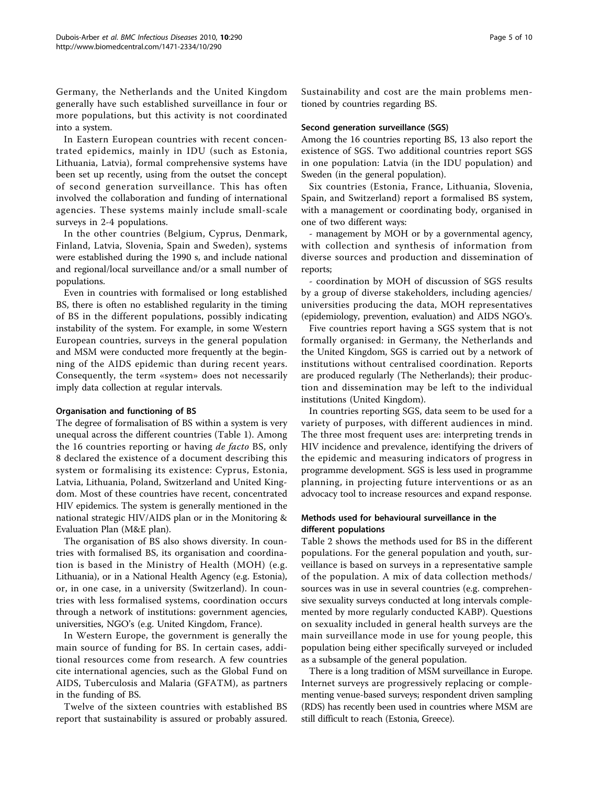Germany, the Netherlands and the United Kingdom generally have such established surveillance in four or more populations, but this activity is not coordinated into a system.

In Eastern European countries with recent concentrated epidemics, mainly in IDU (such as Estonia, Lithuania, Latvia), formal comprehensive systems have been set up recently, using from the outset the concept of second generation surveillance. This has often involved the collaboration and funding of international agencies. These systems mainly include small-scale surveys in 2-4 populations.

In the other countries (Belgium, Cyprus, Denmark, Finland, Latvia, Slovenia, Spain and Sweden), systems were established during the 1990 s, and include national and regional/local surveillance and/or a small number of populations.

Even in countries with formalised or long established BS, there is often no established regularity in the timing of BS in the different populations, possibly indicating instability of the system. For example, in some Western European countries, surveys in the general population and MSM were conducted more frequently at the beginning of the AIDS epidemic than during recent years. Consequently, the term «system» does not necessarily imply data collection at regular intervals.

# Organisation and functioning of BS

The degree of formalisation of BS within a system is very unequal across the different countries (Table [1\)](#page-5-0). Among the 16 countries reporting or having de facto BS, only 8 declared the existence of a document describing this system or formalising its existence: Cyprus, Estonia, Latvia, Lithuania, Poland, Switzerland and United Kingdom. Most of these countries have recent, concentrated HIV epidemics. The system is generally mentioned in the national strategic HIV/AIDS plan or in the Monitoring & Evaluation Plan (M&E plan).

The organisation of BS also shows diversity. In countries with formalised BS, its organisation and coordination is based in the Ministry of Health (MOH) (e.g. Lithuania), or in a National Health Agency (e.g. Estonia), or, in one case, in a university (Switzerland). In countries with less formalised systems, coordination occurs through a network of institutions: government agencies, universities, NGO's (e.g. United Kingdom, France).

In Western Europe, the government is generally the main source of funding for BS. In certain cases, additional resources come from research. A few countries cite international agencies, such as the Global Fund on AIDS, Tuberculosis and Malaria (GFATM), as partners in the funding of BS.

Twelve of the sixteen countries with established BS report that sustainability is assured or probably assured. Sustainability and cost are the main problems mentioned by countries regarding BS.

## Second generation surveillance (SGS)

Among the 16 countries reporting BS, 13 also report the existence of SGS. Two additional countries report SGS in one population: Latvia (in the IDU population) and Sweden (in the general population).

Six countries (Estonia, France, Lithuania, Slovenia, Spain, and Switzerland) report a formalised BS system, with a management or coordinating body, organised in one of two different ways:

- management by MOH or by a governmental agency, with collection and synthesis of information from diverse sources and production and dissemination of reports;

- coordination by MOH of discussion of SGS results by a group of diverse stakeholders, including agencies/ universities producing the data, MOH representatives (epidemiology, prevention, evaluation) and AIDS NGO's.

Five countries report having a SGS system that is not formally organised: in Germany, the Netherlands and the United Kingdom, SGS is carried out by a network of institutions without centralised coordination. Reports are produced regularly (The Netherlands); their production and dissemination may be left to the individual institutions (United Kingdom).

In countries reporting SGS, data seem to be used for a variety of purposes, with different audiences in mind. The three most frequent uses are: interpreting trends in HIV incidence and prevalence, identifying the drivers of the epidemic and measuring indicators of progress in programme development. SGS is less used in programme planning, in projecting future interventions or as an advocacy tool to increase resources and expand response.

## Methods used for behavioural surveillance in the different populations

Table [2](#page-6-0) shows the methods used for BS in the different populations. For the general population and youth, surveillance is based on surveys in a representative sample of the population. A mix of data collection methods/ sources was in use in several countries (e.g. comprehensive sexuality surveys conducted at long intervals complemented by more regularly conducted KABP). Questions on sexuality included in general health surveys are the main surveillance mode in use for young people, this population being either specifically surveyed or included as a subsample of the general population.

There is a long tradition of MSM surveillance in Europe. Internet surveys are progressively replacing or complementing venue-based surveys; respondent driven sampling (RDS) has recently been used in countries where MSM are still difficult to reach (Estonia, Greece).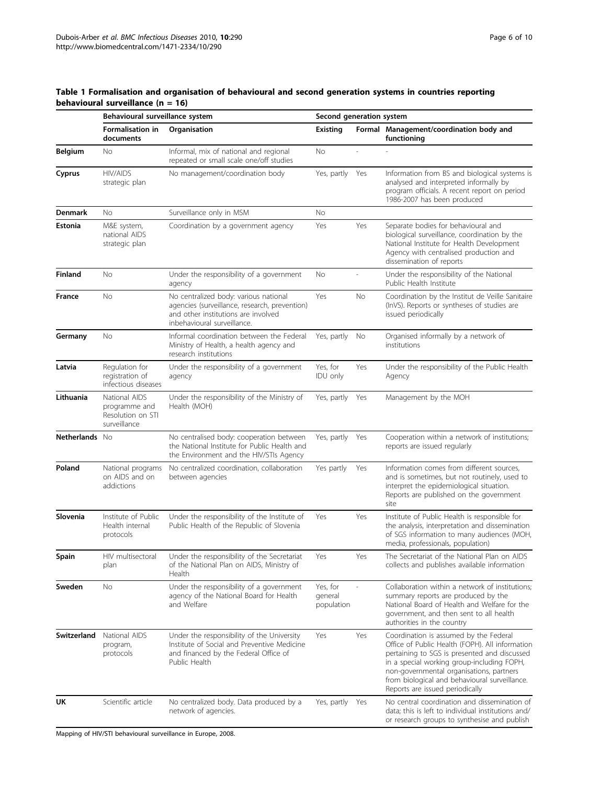<span id="page-5-0"></span>

| Table 1 Formalisation and organisation of behavioural and second generation systems in countries reporting |  |  |
|------------------------------------------------------------------------------------------------------------|--|--|
| behavioural surveillance $(n = 16)$                                                                        |  |  |

|                | Behavioural surveillance system                                     | Second generation system                                                                                                                                     |                                   |     |                                                                                                                                                                                                                                                                                                                         |  |  |  |  |
|----------------|---------------------------------------------------------------------|--------------------------------------------------------------------------------------------------------------------------------------------------------------|-----------------------------------|-----|-------------------------------------------------------------------------------------------------------------------------------------------------------------------------------------------------------------------------------------------------------------------------------------------------------------------------|--|--|--|--|
|                | Formalisation in<br>documents                                       | Organisation                                                                                                                                                 | Existing                          |     | Formal Management/coordination body and<br>functioning                                                                                                                                                                                                                                                                  |  |  |  |  |
| <b>Belgium</b> | No                                                                  | Informal, mix of national and regional<br>repeated or small scale one/off studies                                                                            | <b>No</b>                         |     |                                                                                                                                                                                                                                                                                                                         |  |  |  |  |
| Cyprus         | <b>HIV/AIDS</b><br>strategic plan                                   | No management/coordination body                                                                                                                              | Yes, partly                       | Yes | Information from BS and biological systems is<br>analysed and interpreted informally by<br>program officials. A recent report on period<br>1986-2007 has been produced                                                                                                                                                  |  |  |  |  |
| Denmark        | No                                                                  | Surveillance only in MSM                                                                                                                                     | No                                |     |                                                                                                                                                                                                                                                                                                                         |  |  |  |  |
| <b>Estonia</b> | M&E system,<br>national AIDS<br>strategic plan                      | Coordination by a government agency                                                                                                                          | Yes                               | Yes | Separate bodies for behavioural and<br>biological surveillance, coordination by the<br>National Institute for Health Development<br>Agency with centralised production and<br>dissemination of reports                                                                                                                  |  |  |  |  |
| <b>Finland</b> | <b>No</b>                                                           | Under the responsibility of a government<br>agency                                                                                                           | <b>No</b>                         |     | Under the responsibility of the National<br>Public Health Institute                                                                                                                                                                                                                                                     |  |  |  |  |
| France         | No                                                                  | No centralized body: various national<br>agencies (surveillance, research, prevention)<br>and other institutions are involved<br>inbehavioural surveillance. | Yes                               | No  | Coordination by the Institut de Veille Sanitaire<br>(InVS). Reports or syntheses of studies are<br>issued periodically                                                                                                                                                                                                  |  |  |  |  |
| Germany        | No                                                                  | Informal coordination between the Federal<br>Ministry of Health, a health agency and<br>research institutions                                                | Yes, partly                       | No  | Organised informally by a network of<br>institutions                                                                                                                                                                                                                                                                    |  |  |  |  |
| Latvia         | Regulation for<br>registration of<br>infectious diseases            | Under the responsibility of a government<br>agency                                                                                                           | Yes, for<br><b>IDU</b> only       | Yes | Under the responsibility of the Public Health<br>Agency                                                                                                                                                                                                                                                                 |  |  |  |  |
| Lithuania      | National AIDS<br>programme and<br>Resolution on STI<br>surveillance | Under the responsibility of the Ministry of<br>Health (MOH)                                                                                                  | Yes, partly                       | Yes | Management by the MOH                                                                                                                                                                                                                                                                                                   |  |  |  |  |
| Netherlands No |                                                                     | No centralised body: cooperation between<br>the National Institute for Public Health and<br>the Environment and the HIV/STIs Agency                          | Yes, partly                       | Yes | Cooperation within a network of institutions;<br>reports are issued regularly                                                                                                                                                                                                                                           |  |  |  |  |
| Poland         | National programs<br>on AIDS and on<br>addictions                   | No centralized coordination, collaboration<br>between agencies                                                                                               | Yes partly                        | Yes | Information comes from different sources,<br>and is sometimes, but not routinely, used to<br>interpret the epidemiological situation.<br>Reports are published on the government<br>site                                                                                                                                |  |  |  |  |
| Slovenia       | Institute of Public<br>Health internal<br>protocols                 | Under the responsibility of the Institute of<br>Public Health of the Republic of Slovenia                                                                    | Yes                               | Yes | Institute of Public Health is responsible for<br>the analysis, interpretation and dissemination<br>of SGS information to many audiences (MOH,<br>media, professionals, population)                                                                                                                                      |  |  |  |  |
| Spain          | HIV multisectoral<br>plan                                           | Under the responsibility of the Secretariat<br>of the National Plan on AIDS, Ministry of<br>Health                                                           | Yes                               | Yes | The Secretariat of the National Plan on AIDS<br>collects and publishes available information                                                                                                                                                                                                                            |  |  |  |  |
| Sweden         | No                                                                  | Under the responsibility of a government<br>agency of the National Board for Health<br>and Welfare                                                           | Yes, for<br>general<br>population |     | Collaboration within a network of institutions;<br>summary reports are produced by the<br>National Board of Health and Welfare for the<br>government, and then sent to all health<br>authorities in the country                                                                                                         |  |  |  |  |
| Switzerland    | National AIDS<br>program,<br>protocols                              | Under the responsibility of the University<br>Institute of Social and Preventive Medicine<br>and financed by the Federal Office of<br>Public Health          | Yes                               | Yes | Coordination is assumed by the Federal<br>Office of Public Health (FOPH). All information<br>pertaining to SGS is presented and discussed<br>in a special working group-including FOPH,<br>non-governmental organisations, partners<br>from biological and behavioural surveillance.<br>Reports are issued periodically |  |  |  |  |
| UK             | Scientific article                                                  | No centralized body. Data produced by a<br>network of agencies.                                                                                              | Yes, partly                       | Yes | No central coordination and dissemination of<br>data; this is left to individual institutions and/<br>or research groups to synthesise and publish                                                                                                                                                                      |  |  |  |  |

Mapping of HIV/STI behavioural surveillance in Europe, 2008.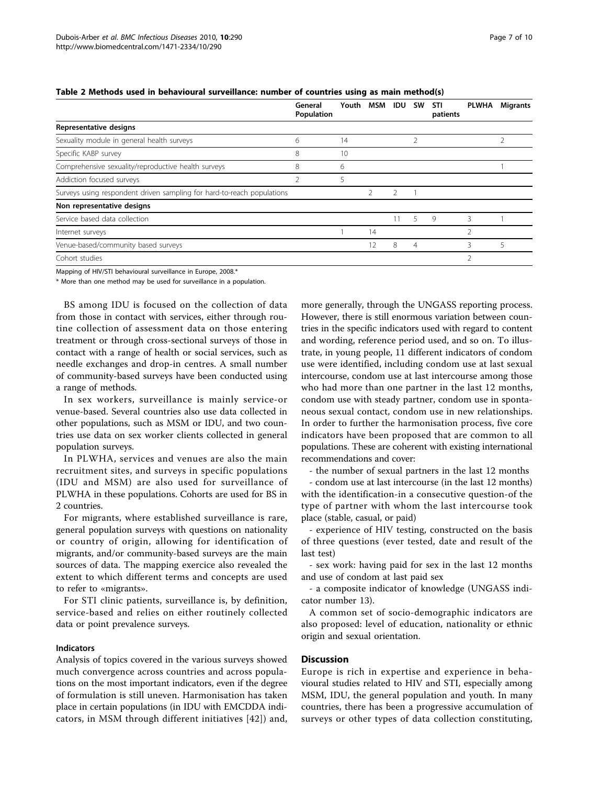|                                                                        | General<br>Population | Youth | <b>MSM</b> | <b>IDU</b>    | <b>SW</b>      | STI<br>patients | <b>PLWHA</b> | <b>Migrants</b> |
|------------------------------------------------------------------------|-----------------------|-------|------------|---------------|----------------|-----------------|--------------|-----------------|
| Representative designs                                                 |                       |       |            |               |                |                 |              |                 |
| Sexuality module in general health surveys                             | 6                     | 14    |            |               | $\mathcal{P}$  |                 |              |                 |
| Specific KABP survey                                                   | 8                     | 10    |            |               |                |                 |              |                 |
| Comprehensive sexuality/reproductive health surveys                    | 8                     | 6     |            |               |                |                 |              |                 |
| Addiction focused surveys                                              |                       |       |            |               |                |                 |              |                 |
| Surveys using respondent driven sampling for hard-to-reach populations |                       |       |            | $\mathcal{P}$ |                |                 |              |                 |
| Non representative designs                                             |                       |       |            |               |                |                 |              |                 |
| Service based data collection                                          |                       |       |            | 11            | 5              | 9               | 3            |                 |
| Internet surveys                                                       |                       |       | 14         |               |                |                 |              |                 |
| Venue-based/community based surveys                                    |                       |       | 12         | 8             | $\overline{4}$ |                 | 3            |                 |
| Cohort studies                                                         |                       |       |            |               |                |                 |              |                 |

<span id="page-6-0"></span>Table 2 Methods used in behavioural surveillance: number of countries using as main method(s)

Mapping of HIV/STI behavioural surveillance in Europe, 2008.\*

\* More than one method may be used for surveillance in a population.

BS among IDU is focused on the collection of data from those in contact with services, either through routine collection of assessment data on those entering treatment or through cross-sectional surveys of those in contact with a range of health or social services, such as needle exchanges and drop-in centres. A small number of community-based surveys have been conducted using a range of methods.

In sex workers, surveillance is mainly service-or venue-based. Several countries also use data collected in other populations, such as MSM or IDU, and two countries use data on sex worker clients collected in general population surveys.

In PLWHA, services and venues are also the main recruitment sites, and surveys in specific populations (IDU and MSM) are also used for surveillance of PLWHA in these populations. Cohorts are used for BS in 2 countries.

For migrants, where established surveillance is rare, general population surveys with questions on nationality or country of origin, allowing for identification of migrants, and/or community-based surveys are the main sources of data. The mapping exercice also revealed the extent to which different terms and concepts are used to refer to «migrants».

For STI clinic patients, surveillance is, by definition, service-based and relies on either routinely collected data or point prevalence surveys.

## Indicators

Analysis of topics covered in the various surveys showed much convergence across countries and across populations on the most important indicators, even if the degree of formulation is still uneven. Harmonisation has taken place in certain populations (in IDU with EMCDDA indicators, in MSM through different initiatives [42]) and,

more generally, through the UNGASS reporting process. However, there is still enormous variation between countries in the specific indicators used with regard to content and wording, reference period used, and so on. To illustrate, in young people, 11 different indicators of condom use were identified, including condom use at last sexual intercourse, condom use at last intercourse among those who had more than one partner in the last 12 months, condom use with steady partner, condom use in spontaneous sexual contact, condom use in new relationships. In order to further the harmonisation process, five core indicators have been proposed that are common to all populations. These are coherent with existing international recommendations and cover:

- the number of sexual partners in the last 12 months

- condom use at last intercourse (in the last 12 months) with the identification-in a consecutive question-of the type of partner with whom the last intercourse took place (stable, casual, or paid)

- experience of HIV testing, constructed on the basis of three questions (ever tested, date and result of the last test)

- sex work: having paid for sex in the last 12 months and use of condom at last paid sex

- a composite indicator of knowledge (UNGASS indicator number 13).

A common set of socio-demographic indicators are also proposed: level of education, nationality or ethnic origin and sexual orientation.

## **Discussion**

Europe is rich in expertise and experience in behavioural studies related to HIV and STI, especially among MSM, IDU, the general population and youth. In many countries, there has been a progressive accumulation of surveys or other types of data collection constituting,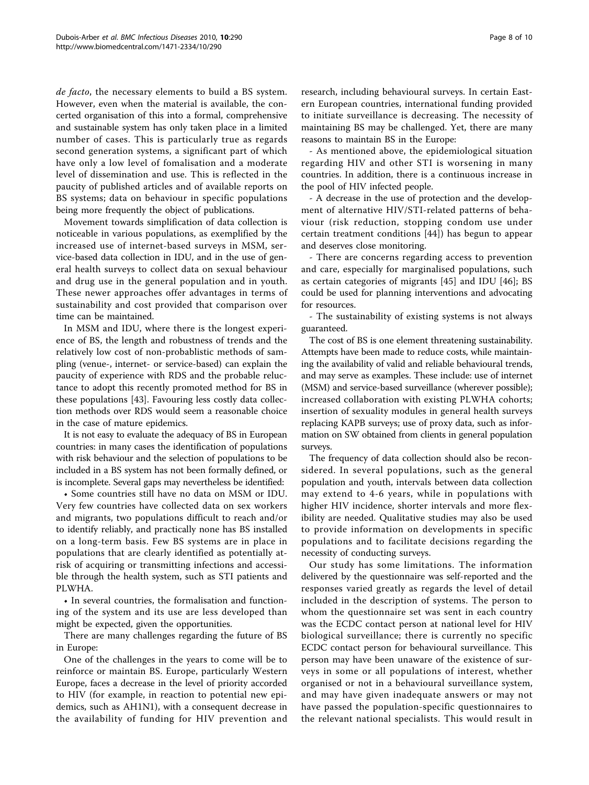de facto, the necessary elements to build a BS system. However, even when the material is available, the concerted organisation of this into a formal, comprehensive and sustainable system has only taken place in a limited number of cases. This is particularly true as regards second generation systems, a significant part of which have only a low level of fomalisation and a moderate level of dissemination and use. This is reflected in the paucity of published articles and of available reports on BS systems; data on behaviour in specific populations being more frequently the object of publications.

Movement towards simplification of data collection is noticeable in various populations, as exemplified by the increased use of internet-based surveys in MSM, service-based data collection in IDU, and in the use of general health surveys to collect data on sexual behaviour and drug use in the general population and in youth. These newer approaches offer advantages in terms of sustainability and cost provided that comparison over time can be maintained.

In MSM and IDU, where there is the longest experience of BS, the length and robustness of trends and the relatively low cost of non-probablistic methods of sampling (venue-, internet- or service-based) can explain the paucity of experience with RDS and the probable reluctance to adopt this recently promoted method for BS in these populations [43]. Favouring less costly data collection methods over RDS would seem a reasonable choice in the case of mature epidemics.

It is not easy to evaluate the adequacy of BS in European countries: in many cases the identification of populations with risk behaviour and the selection of populations to be included in a BS system has not been formally defined, or is incomplete. Several gaps may nevertheless be identified:

• Some countries still have no data on MSM or IDU. Very few countries have collected data on sex workers and migrants, two populations difficult to reach and/or to identify reliably, and practically none has BS installed on a long-term basis. Few BS systems are in place in populations that are clearly identified as potentially atrisk of acquiring or transmitting infections and accessible through the health system, such as STI patients and PLWHA.

• In several countries, the formalisation and functioning of the system and its use are less developed than might be expected, given the opportunities.

There are many challenges regarding the future of BS in Europe:

One of the challenges in the years to come will be to reinforce or maintain BS. Europe, particularly Western Europe, faces a decrease in the level of priority accorded to HIV (for example, in reaction to potential new epidemics, such as AH1N1), with a consequent decrease in the availability of funding for HIV prevention and research, including behavioural surveys. In certain Eastern European countries, international funding provided to initiate surveillance is decreasing. The necessity of maintaining BS may be challenged. Yet, there are many reasons to maintain BS in the Europe:

- As mentioned above, the epidemiological situation regarding HIV and other STI is worsening in many countries. In addition, there is a continuous increase in the pool of HIV infected people.

- A decrease in the use of protection and the development of alternative HIV/STI-related patterns of behaviour (risk reduction, stopping condom use under certain treatment conditions [44]) has begun to appear and deserves close monitoring.

- There are concerns regarding access to prevention and care, especially for marginalised populations, such as certain categories of migrants [45] and IDU [46]; BS could be used for planning interventions and advocating for resources.

- The sustainability of existing systems is not always guaranteed.

The cost of BS is one element threatening sustainability. Attempts have been made to reduce costs, while maintaining the availability of valid and reliable behavioural trends, and may serve as examples. These include: use of internet (MSM) and service-based surveillance (wherever possible); increased collaboration with existing PLWHA cohorts; insertion of sexuality modules in general health surveys replacing KAPB surveys; use of proxy data, such as information on SW obtained from clients in general population surveys.

The frequency of data collection should also be reconsidered. In several populations, such as the general population and youth, intervals between data collection may extend to 4-6 years, while in populations with higher HIV incidence, shorter intervals and more flexibility are needed. Qualitative studies may also be used to provide information on developments in specific populations and to facilitate decisions regarding the necessity of conducting surveys.

Our study has some limitations. The information delivered by the questionnaire was self-reported and the responses varied greatly as regards the level of detail included in the description of systems. The person to whom the questionnaire set was sent in each country was the ECDC contact person at national level for HIV biological surveillance; there is currently no specific ECDC contact person for behavioural surveillance. This person may have been unaware of the existence of surveys in some or all populations of interest, whether organised or not in a behavioural surveillance system, and may have given inadequate answers or may not have passed the population-specific questionnaires to the relevant national specialists. This would result in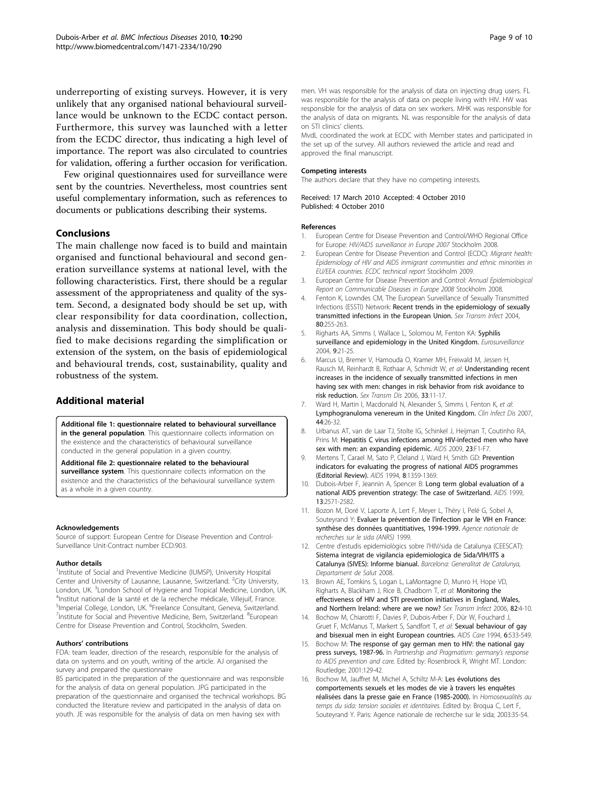<span id="page-8-0"></span>underreporting of existing surveys. However, it is very unlikely that any organised national behavioural surveillance would be unknown to the ECDC contact person. Furthermore, this survey was launched with a letter from the ECDC director, thus indicating a high level of importance. The report was also circulated to countries for validation, offering a further occasion for verification.

Few original questionnaires used for surveillance were sent by the countries. Nevertheless, most countries sent useful complementary information, such as references to documents or publications describing their systems.

## Conclusions

The main challenge now faced is to build and maintain organised and functional behavioural and second generation surveillance systems at national level, with the following characteristics. First, there should be a regular assessment of the appropriateness and quality of the system. Second, a designated body should be set up, with clear responsibility for data coordination, collection, analysis and dissemination. This body should be qualified to make decisions regarding the simplification or extension of the system, on the basis of epidemiological and behavioural trends, cost, sustainability, quality and robustness of the system.

# Additional material

[Additional file 1: q](http://www.biomedcentral.com/content/supplementary/1471-2334-10-290-S1.DOC)uestionnaire related to behavioural surveillance in the general population. This questionnaire collects information on the existence and the characteristics of behavioural surveillance conducted in the general population in a given country.

[Additional file 2: q](http://www.biomedcentral.com/content/supplementary/1471-2334-10-290-S2.DOC)uestionnaire related to the behavioural surveillance system. This questionnaire collects information on the existence and the characteristics of the behavioural surveillance system as a whole in a given country.

#### Acknowledgements

Source of support: European Centre for Disease Prevention and Control-Surveillance Unit-Contract number ECD.903.

#### Author details

<sup>1</sup>Institute of Social and Preventive Medicine (IUMSP), University Hospital Center and University of Lausanne, Lausanne, Switzerland. <sup>2</sup>City University, London, UK. <sup>3</sup>London School of Hygiene and Tropical Medicine, London, UK.<br><sup>4</sup>Institut patienal de la santé et de la recherche médicale Villeiuif France. <sup>4</sup>Institut national de la santé et de la recherche médicale, Villeiuif, France. <sup>5</sup>Imperial College, London, UK. <sup>6</sup>Freelance Consultant, Geneva, Switzerland.<br><sup>7</sup>Institute for Social and Proventive Medicine, Bern, Switzerland. <sup>8</sup>European. Institute for Social and Preventive Medicine, Bern, Switzerland. <sup>8</sup>European Centre for Disease Prevention and Control, Stockholm, Sweden.

#### Authors' contributions

FDA: team leader, direction of the research, responsible for the analysis of data on systems and on youth, writing of the article. AJ organised the survey and prepared the questionnaire

BS participated in the preparation of the questionnaire and was responsible for the analysis of data on general population. JPG participated in the preparation of the questionnaire and organised the technical workshops. BG conducted the literature review and participated in the analysis of data on youth. JE was responsible for the analysis of data on men having sex with

men. VH was responsible for the analysis of data on injecting drug users. FL was responsible for the analysis of data on people living with HIV. HW was responsible for the analysis of data on sex workers. MHK was responsible for the analysis of data on migrants. NL was responsible for the analysis of data on STI clinics' clients.

MvdL coordinated the work at ECDC with Member states and participated in the set up of the survey. All authors reviewed the article and read and approved the final manuscript.

#### Competing interests

The authors declare that they have no competing interests.

Received: 17 March 2010 Accepted: 4 October 2010 Published: 4 October 2010

### References

- 1. European Centre for Disease Prevention and Control/WHO Regional Office for Europe: HIV/AIDS surveillance in Europe 2007 Stockholm 2008.
- 2. European Centre for Disease Prevention and Control (ECDC): Migrant health: Epidemiology of HIV and AIDS inmigrant communities and ethnic minorities in EU/EEA countries. ECDC technical report Stockholm 2009.
- 3. European Centre for Disease Prevention and Control: Annual Epidemiological Report on Communicable Diseases in Europe 2008 Stockholm 2008.
- 4. Fenton K, Lowndes CM, The European Surveillance of Sexually Transmitted Infections (ESSTI) Network: [Recent trends in the epidemiology of sexually](http://www.ncbi.nlm.nih.gov/pubmed/15295121?dopt=Abstract) [transmitted infections in the European Union.](http://www.ncbi.nlm.nih.gov/pubmed/15295121?dopt=Abstract) Sex Transm Infect 2004, 80:255-263.
- 5. Righarts AA, Simms I, Wallace L, Solomou M, Fenton KA: [Syphilis](http://www.ncbi.nlm.nih.gov/pubmed/15677851?dopt=Abstract) [surveillance and epidemiology in the United Kingdom.](http://www.ncbi.nlm.nih.gov/pubmed/15677851?dopt=Abstract) Eurosurveillance 2004, 9:21-25.
- 6. Marcus U, Bremer V, Hamouda O, Kramer MH, Freiwald M, Jessen H, Rausch M, Reinhardt B, Rothaar A, Schmidt W, et al: [Understanding recent](http://www.ncbi.nlm.nih.gov/pubmed/16385216?dopt=Abstract) [increases in the incidence of sexually transmitted infections in men](http://www.ncbi.nlm.nih.gov/pubmed/16385216?dopt=Abstract) [having sex with men: changes in risk behavior from risk avoidance to](http://www.ncbi.nlm.nih.gov/pubmed/16385216?dopt=Abstract) [risk reduction.](http://www.ncbi.nlm.nih.gov/pubmed/16385216?dopt=Abstract) Sex Transm Dis 2006, 33:11-17.
- 7. Ward H, Martin I, Macdonald N, Alexander S, Simms I, Fenton K, et al: [Lymphogranuloma venereum in the United Kingdom.](http://www.ncbi.nlm.nih.gov/pubmed/17143811?dopt=Abstract) Clin Infect Dis 2007, 44:26-32.
- 8. Urbanus AT, van de Laar TJ, Stolte IG, Schinkel J, Heijman T, Coutinho RA, Prins M: [Hepatitis C virus infections among HIV-infected men who have](http://www.ncbi.nlm.nih.gov/pubmed/19542864?dopt=Abstract) [sex with men: an expanding epidemic.](http://www.ncbi.nlm.nih.gov/pubmed/19542864?dopt=Abstract) AIDS 2009, 23:F1-F7.
- 9. Mertens T, Carael M, Sato P, Cleland J, Ward H, Smith GD: [Prevention](http://www.ncbi.nlm.nih.gov/pubmed/7818807?dopt=Abstract) [indicators for evaluating the progress of national AIDS programmes](http://www.ncbi.nlm.nih.gov/pubmed/7818807?dopt=Abstract) [\(Editorial Review\).](http://www.ncbi.nlm.nih.gov/pubmed/7818807?dopt=Abstract) AIDS 1994, 8:1359-1369.
- 10. Dubois-Arber F, Jeannin A, Spencer B: [Long term global evaluation of a](http://www.ncbi.nlm.nih.gov/pubmed/10630527?dopt=Abstract) [national AIDS prevention strategy: The case of Switzerland.](http://www.ncbi.nlm.nih.gov/pubmed/10630527?dopt=Abstract) AIDS 1999, 13:2571-2582.
- 11. Bozon M, Doré V, Laporte A, Lert F, Meyer L, Théry I, Pelé G, Sobel A, Souteyrand Y: Evaluer la prévention de l'infection par le VIH en France: synthèse des données quantitiatives, 1994-1999. Agence nationale de recherches sur le sida (ANRS) 1999.
- 12. Centre d'estudis epidemiològics sobre l'HIV/sida de Catalunya (CEESCAT): Sistema integrat de vigilancia epidemiologica de Sida/VIH/ITS a Catalunya (SIVES): Informe bianual. Barcelona: Generalitat de Catalunya, Departament de Salut 2008.
- 13. Brown AE, Tomkins S, Logan L, LaMontagne D, Munro H, Hope VD, Righarts A, Blackham J, Rice B, Chadborn T, et al: [Monitoring the](http://www.ncbi.nlm.nih.gov/pubmed/16461593?dopt=Abstract) [effectiveness of HIV and STI prevention initiatives in England, Wales,](http://www.ncbi.nlm.nih.gov/pubmed/16461593?dopt=Abstract) [and Northern Ireland: where are we now?](http://www.ncbi.nlm.nih.gov/pubmed/16461593?dopt=Abstract) Sex Transm Infect 2006, 82:4-10.
- 14. Bochow M, Chiarotti F, Davies P, Dubois-Arber F, Dür W, Fouchard J, Gruet F, McManus T, Markert S, Sandfort T, et al: Sexual behaviour of gav [and bisexual men in eight European countries.](http://www.ncbi.nlm.nih.gov/pubmed/7711087?dopt=Abstract) AIDS Care 1994, 6:533-549.
- 15. Bochow M: The response of gay german men to HIV: the national gay press surveys, 1987-96. In Partnership and Pragmatism: germany's response to AIDS prevention and care. Edited by: Rosenbrock R, Wright MT. London: Routledge; 2001:129-42.
- 16. Bochow M, Jauffret M, Michel A, Schiltz M-A: Les évolutions des comportements sexuels et les modes de vie à travers les enquêtes réalisées dans la presse gaie en France (1985-2000). In Homosexualités au temps du sida: tension sociales et identitaires. Edited by: Broqua C, Lert F, Souteyrand Y. Paris: Agence nationale de recherche sur le sida; 2003:35-54.